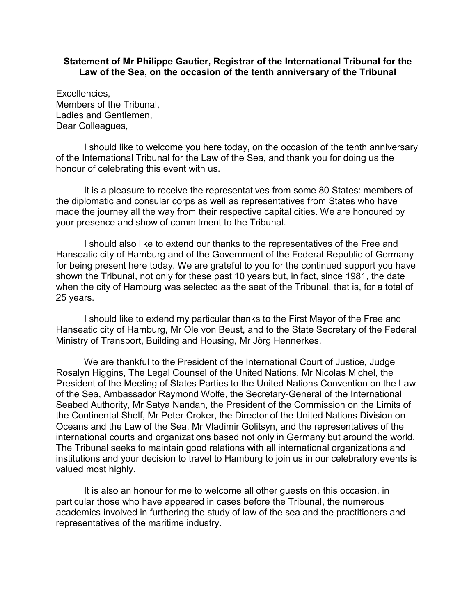## **Statement of Mr Philippe Gautier, Registrar of the International Tribunal for the Law of the Sea, on the occasion of the tenth anniversary of the Tribunal**

Excellencies, Members of the Tribunal, Ladies and Gentlemen, Dear Colleagues,

I should like to welcome you here today, on the occasion of the tenth anniversary of the International Tribunal for the Law of the Sea, and thank you for doing us the honour of celebrating this event with us.

It is a pleasure to receive the representatives from some 80 States: members of the diplomatic and consular corps as well as representatives from States who have made the journey all the way from their respective capital cities. We are honoured by your presence and show of commitment to the Tribunal.

I should also like to extend our thanks to the representatives of the Free and Hanseatic city of Hamburg and of the Government of the Federal Republic of Germany for being present here today. We are grateful to you for the continued support you have shown the Tribunal, not only for these past 10 years but, in fact, since 1981, the date when the city of Hamburg was selected as the seat of the Tribunal, that is, for a total of 25 years.

I should like to extend my particular thanks to the First Mayor of the Free and Hanseatic city of Hamburg, Mr Ole von Beust, and to the State Secretary of the Federal Ministry of Transport, Building and Housing, Mr Jörg Hennerkes.

We are thankful to the President of the International Court of Justice, Judge Rosalyn Higgins, The Legal Counsel of the United Nations, Mr Nicolas Michel, the President of the Meeting of States Parties to the United Nations Convention on the Law of the Sea, Ambassador Raymond Wolfe, the Secretary-General of the International Seabed Authority, Mr Satya Nandan, the President of the Commission on the Limits of the Continental Shelf, Mr Peter Croker, the Director of the United Nations Division on Oceans and the Law of the Sea, Mr Vladimir Golitsyn, and the representatives of the international courts and organizations based not only in Germany but around the world. The Tribunal seeks to maintain good relations with all international organizations and institutions and your decision to travel to Hamburg to join us in our celebratory events is valued most highly.

It is also an honour for me to welcome all other guests on this occasion, in particular those who have appeared in cases before the Tribunal, the numerous academics involved in furthering the study of law of the sea and the practitioners and representatives of the maritime industry.